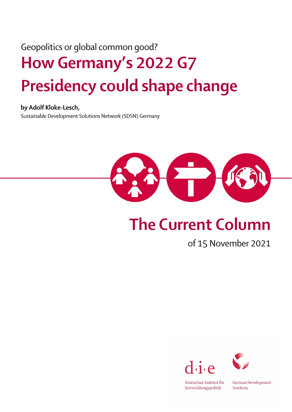## Geopolitics or global common good? How Germany's 2022 G7 Presidency could shape change

by Adolf Kloke-Lesch,

Sustainable Development Solutions Network (SDSN) Germany



## The Current Column

## of 15 November 2021





Deutsches Institut für  ${\small\texttt{Entwicklungspolitik}}$ 

German Development Institute